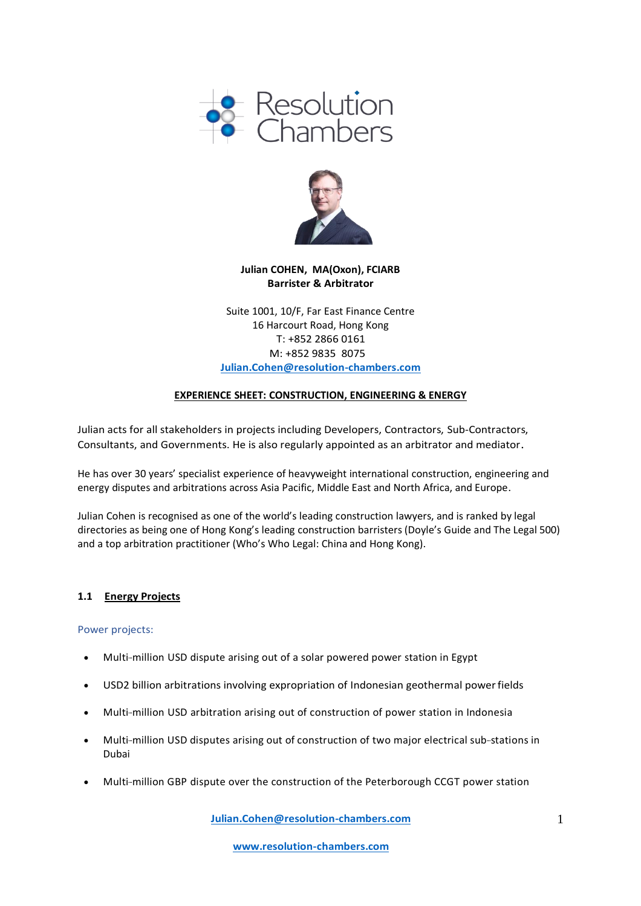



# **Julian COHEN, MA(Oxon), FCIARB Barrister & Arbitrator**

Suite 1001, 10/F, Far East Finance Centre 16 Harcourt Road, Hong Kong T: +852 2866 0161 M: +852 9835 8075 **[Julian.Cohen@resolution-chambers.com](mailto:Julian.Cohen@resolution-chambers.com)**

## **EXPERIENCE SHEET: CONSTRUCTION, ENGINEERING & ENERGY**

Julian acts for all stakeholders in projects including Developers, Contractors, Sub-Contractors, Consultants, and Governments. He is also regularly appointed as an arbitrator and mediator.

He has over 30 years' specialist experience of heavyweight international construction, engineering and energy disputes and arbitrations across Asia Pacific, Middle East and North Africa, and Europe.

Julian Cohen is recognised as one of the world's leading construction lawyers, and is ranked by legal directories as being one of Hong Kong's leading construction barristers (Doyle's Guide and The Legal 500) and a top arbitration practitioner (Who's Who Legal: China and Hong Kong).

#### **1.1 Energy Projects**

Power projects:

- Multi-million USD dispute arising out of a solar powered power station in Egypt
- USD2 billion arbitrations involving expropriation of Indonesian geothermal powerfields
- Multi-million USD arbitration arising out of construction of power station in Indonesia
- Multi-million USD disputes arising out of construction of two major electrical sub- stations in Dubai
- Multi-million GBP dispute over the construction of the Peterborough CCGT power station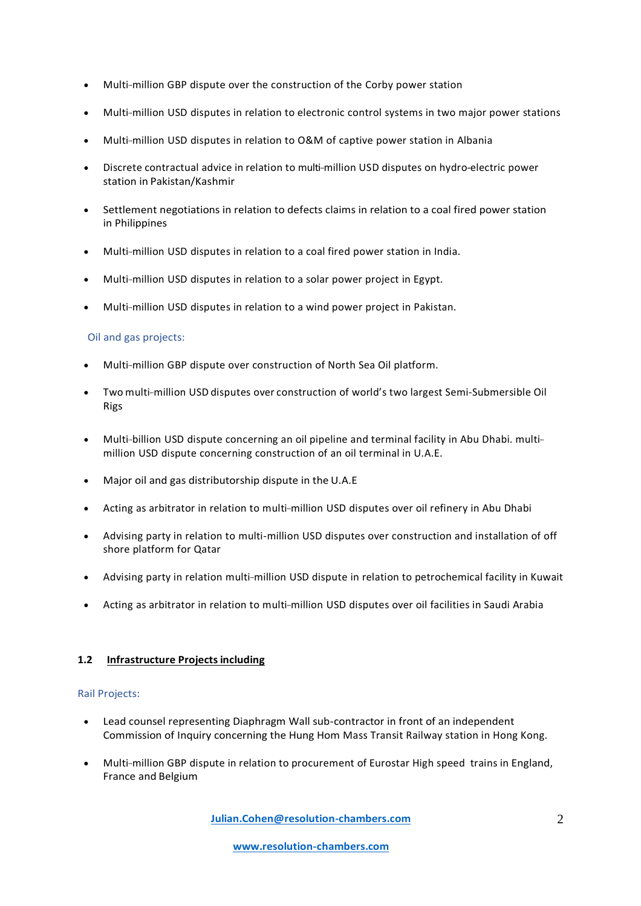- Multi-million GBP dispute over the construction of the Corby power station
- Multi-million USD disputes in relation to electronic control systems in two major power stations
- Multi-million USD disputes in relation to O&M of captive power station in Albania
- Discrete contractual advice in relation to multi-million USD disputes on hydro-electric power station in Pakistan/Kashmir
- Settlement negotiations in relation to defects claims in relation to a coal fired power station in Philippines
- Multi-million USD disputes in relation to a coal fired power station in India.
- Multi-million USD disputes in relation to a solar power project in Egypt.
- Multi-million USD disputes in relation to a wind power project in Pakistan.

# Oil and gas projects:

- Multi-million GBP dispute over construction of North Sea Oil platform.
- Two multi--million USD disputes over construction of world's two largest Semi-Submersible Oil Rigs
- Multi-billion USD dispute concerning an oil pipeline and terminal facility in Abu Dhabi. multi million USD dispute concerning construction of an oil terminal in U.A.E.
- Major oil and gas distributorship dispute in the U.A.E
- Acting as arbitrator in relation to multi- million USD disputes over oil refinery in Abu Dhabi
- Advising party in relation to multi-million USD disputes over construction and installation of off shore platform for Qatar
- Advising party in relation multi-million USD dispute in relation to petrochemical facility in Kuwait
- Acting as arbitrator in relation to multi- million USD disputes over oil facilities in Saudi Arabia

## **1.2 Infrastructure Projectsincluding**

## Rail Projects:

- Lead counsel representing Diaphragm Wall sub-contractor in front of an independent Commission of Inquiry concerning the Hung Hom Mass Transit Railway station in Hong Kong.
- Multi-million GBP dispute in relation to procurement of Eurostar High speed trains in England, France and Belgium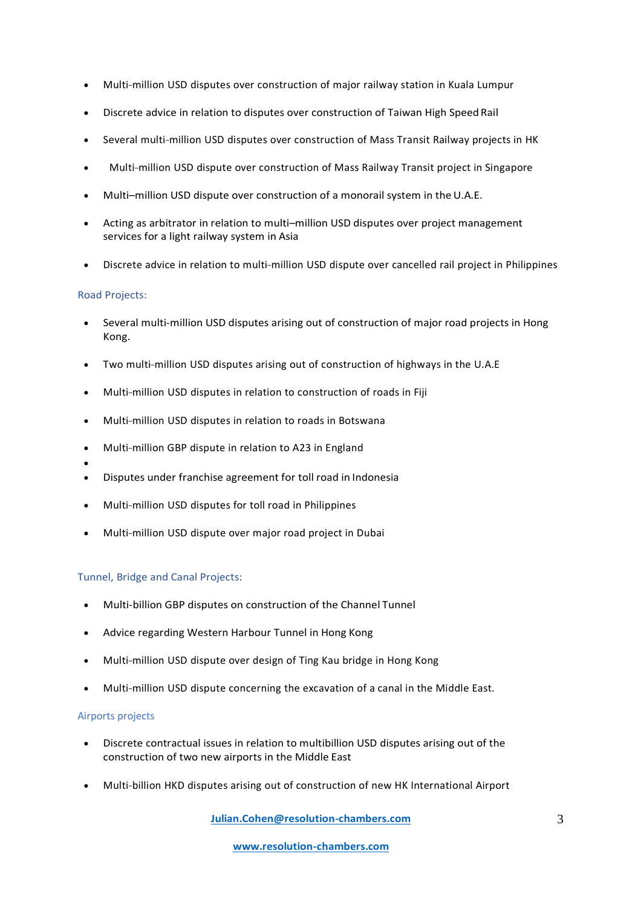- Multi-million USD disputes over construction of major railway station in Kuala Lumpur
- Discrete advice in relation to disputes over construction of Taiwan High Speed Rail
- Several multi-million USD disputes over construction of Mass Transit Railway projects in HK
- Multi-million USD dispute over construction of Mass Railway Transit project in Singapore
- Multi–million USD dispute over construction of a monorail system in the U.A.E.
- Acting as arbitrator in relation to multi–million USD disputes over project management services for a light railway system in Asia
- Discrete advice in relation to multi-million USD dispute over cancelled rail project in Philippines

## Road Projects:

- Several multi-million USD disputes arising out of construction of major road projects in Hong Kong.
- Two multi-million USD disputes arising out of construction of highways in the U.A.E
- Multi-million USD disputes in relation to construction of roads in Fiji
- Multi-million USD disputes in relation to roads in Botswana
- Multi-million GBP dispute in relation to A23 in England
- •
- Disputes under franchise agreement for toll road in Indonesia
- Multi-million USD disputes for toll road in Philippines
- Multi-million USD dispute over major road project in Dubai

## Tunnel, Bridge and Canal Projects:

- Multi-billion GBP disputes on construction of the Channel Tunnel
- Advice regarding Western Harbour Tunnel in Hong Kong
- Multi-million USD dispute over design of Ting Kau bridge in Hong Kong
- Multi-million USD dispute concerning the excavation of a canal in the Middle East.

## Airports projects

- Discrete contractual issues in relation to multibillion USD disputes arising out of the construction of two new airports in the Middle East
- Multi-billion HKD disputes arising out of construction of new HK International Airport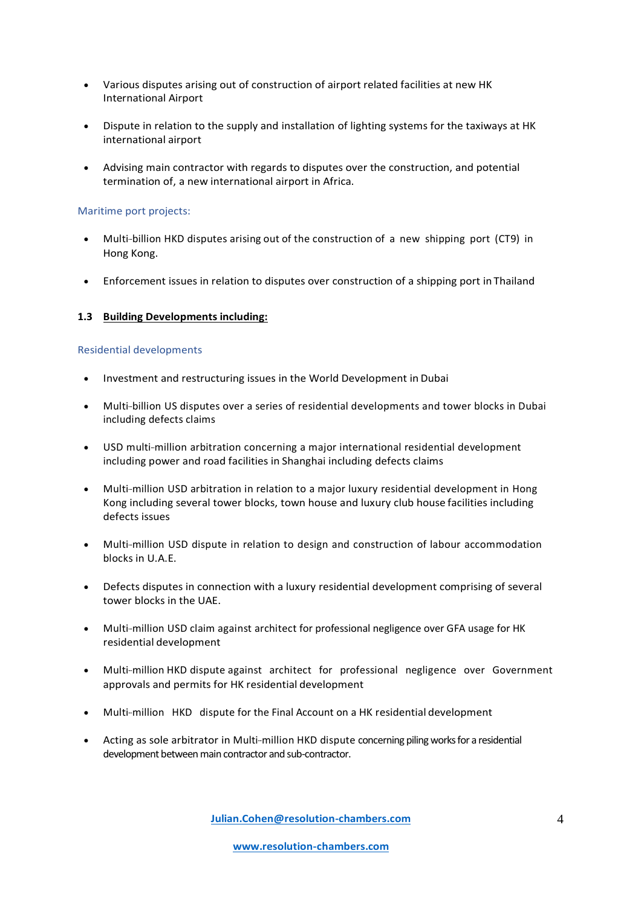- Various disputes arising out of construction of airport related facilities at new HK International Airport
- Dispute in relation to the supply and installation of lighting systems for the taxiways at HK international airport
- Advising main contractor with regards to disputes over the construction, and potential termination of, a new international airport in Africa.

### Maritime port projects:

- Multi-billion HKD disputes arising out of the construction of a new shipping port (CT9) in Hong Kong.
- Enforcement issues in relation to disputes over construction of a shipping port in Thailand

### **1.3 Building Developments including:**

#### Residential developments

- Investment and restructuring issues in the World Development in Dubai
- Multi-billion US disputes over a series of residential developments and tower blocks in Dubai including defects claims
- USD multi--million arbitration concerning a major international residential development including power and road facilities in Shanghai including defects claims
- Multi-million USD arbitration in relation to a major luxury residential development in Hong Kong including several tower blocks, town house and luxury club house facilities including defects issues
- Multi-million USD dispute in relation to design and construction of labour accommodation blocks in U.A.E.
- Defects disputes in connection with a luxury residential development comprising of several tower blocks in the UAE.
- Multi-million USD claim against architect for professional negligence over GFA usage for HK residential development
- Multi- million HKD dispute against architect for professional negligence over Government approvals and permits for HK residential development
- Multi-million HKD dispute for the Final Account on a HK residential development
- Acting as sole arbitrator in Multi-million HKD dispute concerning piling works for a residential development between main contractor and sub-contractor.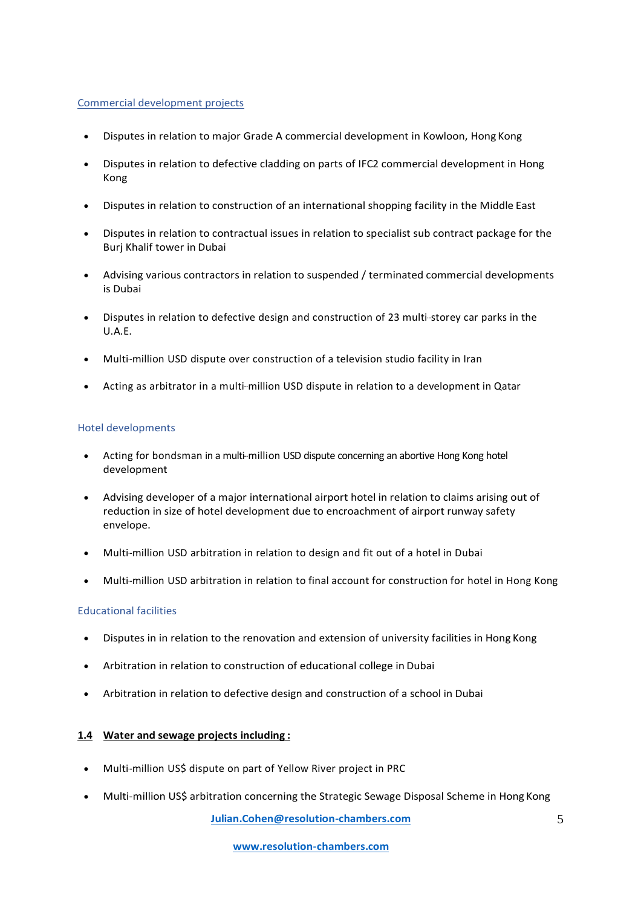### Commercial development projects

- Disputes in relation to major Grade A commercial development in Kowloon, Hong Kong
- Disputes in relation to defective cladding on parts of IFC2 commercial development in Hong Kong
- Disputes in relation to construction of an international shopping facility in the Middle East
- Disputes in relation to contractual issues in relation to specialist sub contract package for the Burj Khalif tower in Dubai
- Advising various contractors in relation to suspended / terminated commercial developments is Dubai
- Disputes in relation to defective design and construction of 23 multi-storey car parks in the U.A.E.
- Multi-million USD dispute over construction of a television studio facility in Iran
- Acting as arbitrator in a multi-million USD dispute in relation to a development in Qatar

### Hotel developments

- Acting for bondsman in a multi-million USD dispute concerning an abortive Hong Kong hotel development
- Advising developer of a major international airport hotel in relation to claims arising out of reduction in size of hotel development due to encroachment of airport runway safety envelope.
- Multi-million USD arbitration in relation to design and fit out of a hotel in Dubai
- Multi-million USD arbitration in relation to final account for construction for hotel in Hong Kong

## Educational facilities

- Disputes in in relation to the renovation and extension of university facilities in Hong Kong
- Arbitration in relation to construction of educational college in Dubai
- Arbitration in relation to defective design and construction of a school in Dubai

## **1.4 Water and sewage projects including :**

- Multi-million US\$ dispute on part of Yellow River project in PRC
- Multi-million US\$ arbitration concerning the Strategic Sewage Disposal Scheme in Hong Kong